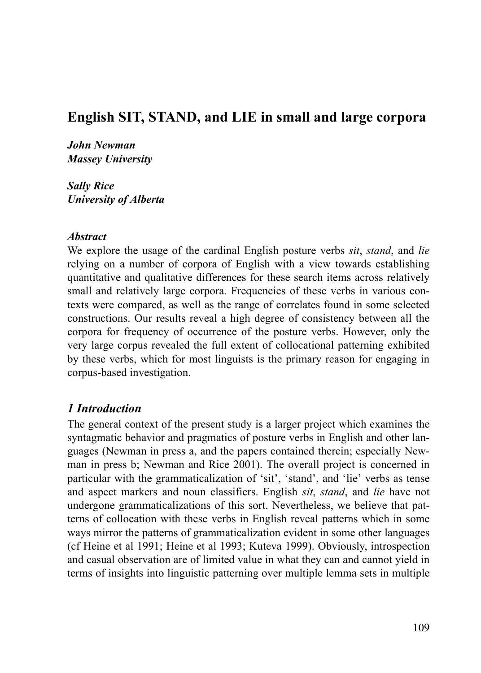# **English SIT, STAND, and LIE in small and large corpora**

*John Newman Massey University*

*Sally Rice University of Alberta*

#### *Abstract*

We explore the usage of the cardinal English posture verbs *sit*, *stand*, and *lie* relying on a number of corpora of English with a view towards establishing quantitative and qualitative differences for these search items across relatively small and relatively large corpora. Frequencies of these verbs in various contexts were compared, as well as the range of correlates found in some selected constructions. Our results reveal a high degree of consistency between all the corpora for frequency of occurrence of the posture verbs. However, only the very large corpus revealed the full extent of collocational patterning exhibited by these verbs, which for most linguists is the primary reason for engaging in corpus-based investigation.

#### *1 Introduction*

The general context of the present study is a larger project which examines the syntagmatic behavior and pragmatics of posture verbs in English and other languages (Newman in press a, and the papers contained therein; especially Newman in press b; Newman and Rice 2001). The overall project is concerned in particular with the grammaticalization of 'sit', 'stand', and 'lie' verbs as tense and aspect markers and noun classifiers. English *sit*, *stand*, and *lie* have not undergone grammaticalizations of this sort. Nevertheless, we believe that patterns of collocation with these verbs in English reveal patterns which in some ways mirror the patterns of grammaticalization evident in some other languages (cf Heine et al 1991; Heine et al 1993; Kuteva 1999). Obviously, introspection and casual observation are of limited value in what they can and cannot yield in terms of insights into linguistic patterning over multiple lemma sets in multiple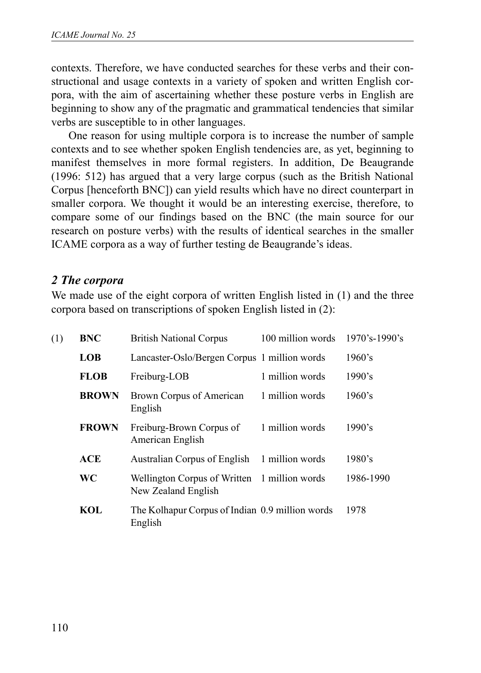contexts. Therefore, we have conducted searches for these verbs and their constructional and usage contexts in a variety of spoken and written English corpora, with the aim of ascertaining whether these posture verbs in English are beginning to show any of the pragmatic and grammatical tendencies that similar verbs are susceptible to in other languages.

One reason for using multiple corpora is to increase the number of sample contexts and to see whether spoken English tendencies are, as yet, beginning to manifest themselves in more formal registers. In addition, De Beaugrande (1996: 512) has argued that a very large corpus (such as the British National Corpus [henceforth BNC]) can yield results which have no direct counterpart in smaller corpora. We thought it would be an interesting exercise, therefore, to compare some of our findings based on the BNC (the main source for our research on posture verbs) with the results of identical searches in the smaller ICAME corpora as a way of further testing de Beaugrande's ideas.

#### *2 The corpora*

We made use of the eight corpora of written English listed in (1) and the three corpora based on transcriptions of spoken English listed in (2):

| (1) | <b>BNC</b>   | <b>British National Corpus</b>                                      | 100 million words | 1970's-1990's |
|-----|--------------|---------------------------------------------------------------------|-------------------|---------------|
|     | <b>LOB</b>   | Lancaster-Oslo/Bergen Corpus 1 million words                        |                   | 1960's        |
|     | <b>FLOB</b>  | Freiburg-LOB                                                        | 1 million words   | 1990's        |
|     | <b>BROWN</b> | Brown Corpus of American<br>English                                 | 1 million words   | 1960's        |
|     | <b>FROWN</b> | Freiburg-Brown Corpus of<br>American English                        | 1 million words   | 1990's        |
|     | <b>ACE</b>   | Australian Corpus of English                                        | 1 million words   | 1980's        |
|     | WC           | Wellington Corpus of Written 1 million words<br>New Zealand English |                   | 1986-1990     |
|     | <b>KOL</b>   | The Kolhapur Corpus of Indian 0.9 million words<br>English          |                   | 1978          |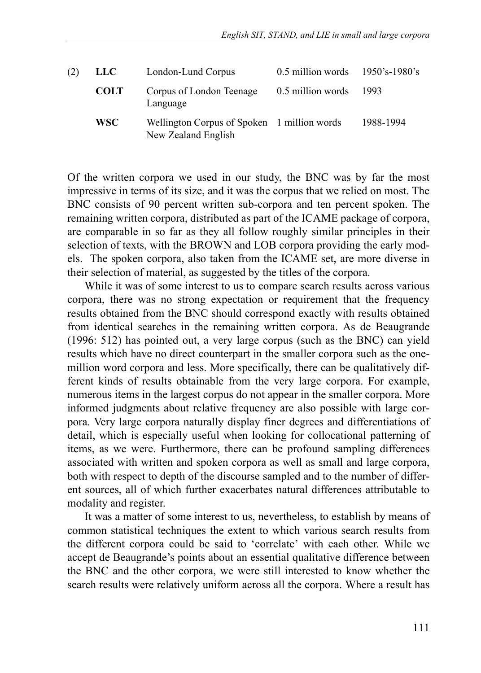| (2) | <b>LLC</b>  | London-Lund Corpus                                                 | $0.5$ million words 1950's-1980's |           |
|-----|-------------|--------------------------------------------------------------------|-----------------------------------|-----------|
|     | <b>COLT</b> | Corpus of London Teenage<br>Language                               | 0.5 million words                 | 1993      |
|     | <b>WSC</b>  | Wellington Corpus of Spoken 1 million words<br>New Zealand English |                                   | 1988-1994 |

Of the written corpora we used in our study, the BNC was by far the most impressive in terms of its size, and it was the corpus that we relied on most. The BNC consists of 90 percent written sub-corpora and ten percent spoken. The remaining written corpora, distributed as part of the ICAME package of corpora, are comparable in so far as they all follow roughly similar principles in their selection of texts, with the BROWN and LOB corpora providing the early models. The spoken corpora, also taken from the ICAME set, are more diverse in their selection of material, as suggested by the titles of the corpora.

While it was of some interest to us to compare search results across various corpora, there was no strong expectation or requirement that the frequency results obtained from the BNC should correspond exactly with results obtained from identical searches in the remaining written corpora. As de Beaugrande (1996: 512) has pointed out, a very large corpus (such as the BNC) can yield results which have no direct counterpart in the smaller corpora such as the onemillion word corpora and less. More specifically, there can be qualitatively different kinds of results obtainable from the very large corpora. For example, numerous items in the largest corpus do not appear in the smaller corpora. More informed judgments about relative frequency are also possible with large corpora. Very large corpora naturally display finer degrees and differentiations of detail, which is especially useful when looking for collocational patterning of items, as we were. Furthermore, there can be profound sampling differences associated with written and spoken corpora as well as small and large corpora, both with respect to depth of the discourse sampled and to the number of different sources, all of which further exacerbates natural differences attributable to modality and register.

It was a matter of some interest to us, nevertheless, to establish by means of common statistical techniques the extent to which various search results from the different corpora could be said to 'correlate' with each other. While we accept de Beaugrande's points about an essential qualitative difference between the BNC and the other corpora, we were still interested to know whether the search results were relatively uniform across all the corpora. Where a result has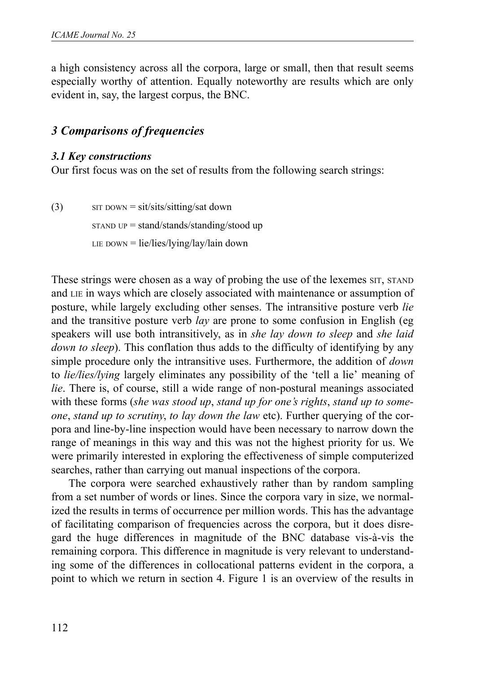a high consistency across all the corpora, large or small, then that result seems especially worthy of attention. Equally noteworthy are results which are only evident in, say, the largest corpus, the BNC.

### *3 Comparisons of frequencies*

#### *3.1 Key constructions*

Our first focus was on the set of results from the following search strings:

 $\text{S}(\text{3})$  SIT DOWN = sit/sits/sitting/sat down STAND UP = stand/stands/standing/stood up LIE DOWN =  $lie/lies/lying/lay/lain down$ 

These strings were chosen as a way of probing the use of the lexemes SIT, STAND and LIE in ways which are closely associated with maintenance or assumption of posture, while largely excluding other senses. The intransitive posture verb *lie* and the transitive posture verb *lay* are prone to some confusion in English (eg speakers will use both intransitively, as in *she lay down to sleep* and *she laid down to sleep*). This conflation thus adds to the difficulty of identifying by any simple procedure only the intransitive uses. Furthermore, the addition of *down* to *lie/lies/lying* largely eliminates any possibility of the 'tell a lie' meaning of *lie*. There is, of course, still a wide range of non-postural meanings associated with these forms (*she was stood up*, *stand up for one's rights*, *stand up to someone*, *stand up to scrutiny*, *to lay down the law* etc). Further querying of the corpora and line-by-line inspection would have been necessary to narrow down the range of meanings in this way and this was not the highest priority for us. We were primarily interested in exploring the effectiveness of simple computerized searches, rather than carrying out manual inspections of the corpora.

The corpora were searched exhaustively rather than by random sampling from a set number of words or lines. Since the corpora vary in size, we normalized the results in terms of occurrence per million words. This has the advantage of facilitating comparison of frequencies across the corpora, but it does disregard the huge differences in magnitude of the BNC database vis-à-vis the remaining corpora. This difference in magnitude is very relevant to understanding some of the differences in collocational patterns evident in the corpora, a point to which we return in section 4. Figure 1 is an overview of the results in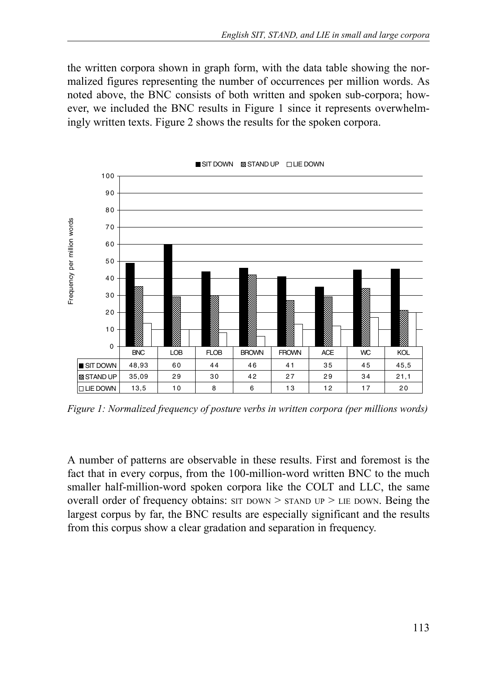the written corpora shown in graph form, with the data table showing the normalized figures representing the number of occurrences per million words. As noted above, the BNC consists of both written and spoken sub-corpora; however, we included the BNC results in Figure 1 since it represents overwhelmingly written texts. Figure 2 shows the results for the spoken corpora.



*Figure 1: Normalized frequency of posture verbs in written corpora (per millions words)*

A number of patterns are observable in these results. First and foremost is the fact that in every corpus, from the 100-million-word written BNC to the much smaller half-million-word spoken corpora like the COLT and LLC, the same overall order of frequency obtains:  $ST$  DOWN  $> STAND$  UP  $>$  LIE DOWN. Being the largest corpus by far, the BNC results are especially significant and the results from this corpus show a clear gradation and separation in frequency.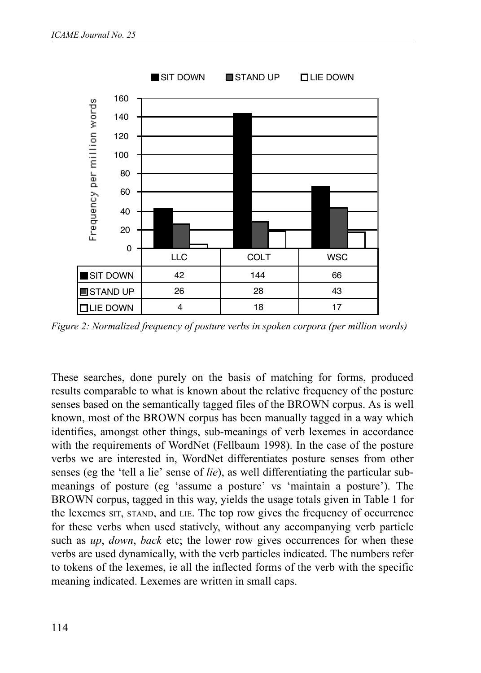

*Figure 2: Normalized frequency of posture verbs in spoken corpora (per million words)*

These searches, done purely on the basis of matching for forms, produced results comparable to what is known about the relative frequency of the posture senses based on the semantically tagged files of the BROWN corpus. As is well known, most of the BROWN corpus has been manually tagged in a way which identifies, amongst other things, sub-meanings of verb lexemes in accordance with the requirements of WordNet (Fellbaum 1998). In the case of the posture verbs we are interested in, WordNet differentiates posture senses from other senses (eg the 'tell a lie' sense of *lie*), as well differentiating the particular submeanings of posture (eg 'assume a posture' vs 'maintain a posture'). The BROWN corpus, tagged in this way, yields the usage totals given in Table 1 for the lexemes SIT, STAND, and LIE. The top row gives the frequency of occurrence for these verbs when used statively, without any accompanying verb particle such as *up*, *down*, *back* etc; the lower row gives occurrences for when these verbs are used dynamically, with the verb particles indicated. The numbers refer to tokens of the lexemes, ie all the inflected forms of the verb with the specific meaning indicated. Lexemes are written in small caps.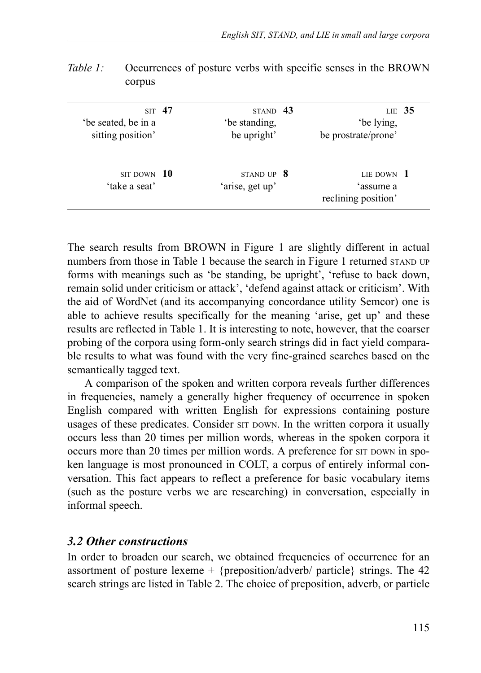|                                     |                                 | LIE $35$               |                                               |
|-------------------------------------|---------------------------------|------------------------|-----------------------------------------------|
|                                     |                                 |                        |                                               |
| be upright'                         |                                 | be prostrate/prone'    |                                               |
|                                     |                                 | LIE DOWN $1$           |                                               |
|                                     |                                 |                        |                                               |
|                                     |                                 |                        |                                               |
|                                     |                                 |                        |                                               |
| ST <sub>47</sub><br>$SIT$ DOWN $10$ | be standing.<br>'arise, get up' | STAND 43<br>STAND UP 8 | be lying.<br>'assume a<br>reclining position' |

*Table 1:* Occurrences of posture verbs with specific senses in the BROWN corpus

The search results from BROWN in Figure 1 are slightly different in actual numbers from those in Table 1 because the search in Figure 1 returned STAND UP forms with meanings such as 'be standing, be upright', 'refuse to back down, remain solid under criticism or attack', 'defend against attack or criticism'. With the aid of WordNet (and its accompanying concordance utility Semcor) one is able to achieve results specifically for the meaning 'arise, get up' and these results are reflected in Table 1. It is interesting to note, however, that the coarser probing of the corpora using form-only search strings did in fact yield comparable results to what was found with the very fine-grained searches based on the semantically tagged text.

A comparison of the spoken and written corpora reveals further differences in frequencies, namely a generally higher frequency of occurrence in spoken English compared with written English for expressions containing posture usages of these predicates. Consider  $ST$  DOWN. In the written corpora it usually occurs less than 20 times per million words, whereas in the spoken corpora it occurs more than 20 times per million words. A preference for SIT DOWN in spoken language is most pronounced in COLT, a corpus of entirely informal conversation. This fact appears to reflect a preference for basic vocabulary items (such as the posture verbs we are researching) in conversation, especially in informal speech.

#### *3.2 Other constructions*

In order to broaden our search, we obtained frequencies of occurrence for an assortment of posture lexeme  $+$  {preposition/adverb/ particle} strings. The 42 search strings are listed in Table 2. The choice of preposition, adverb, or particle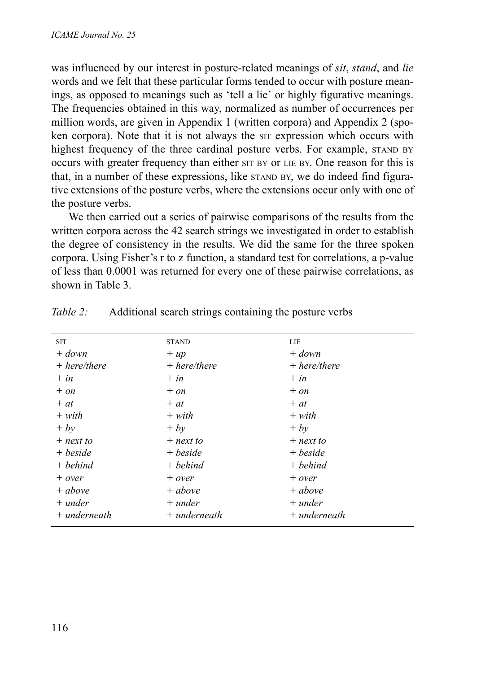was influenced by our interest in posture-related meanings of *sit*, *stand*, and *lie* words and we felt that these particular forms tended to occur with posture meanings, as opposed to meanings such as 'tell a lie' or highly figurative meanings. The frequencies obtained in this way, normalized as number of occurrences per million words, are given in Appendix 1 (written corpora) and Appendix 2 (spoken corpora). Note that it is not always the SIT expression which occurs with highest frequency of the three cardinal posture verbs. For example, STAND BY occurs with greater frequency than either SIT BY or LIE BY. One reason for this is that, in a number of these expressions, like STAND BY, we do indeed find figurative extensions of the posture verbs, where the extensions occur only with one of the posture verbs.

We then carried out a series of pairwise comparisons of the results from the written corpora across the 42 search strings we investigated in order to establish the degree of consistency in the results. We did the same for the three spoken corpora. Using Fisher's r to z function, a standard test for correlations, a p-value of less than 0.0001 was returned for every one of these pairwise correlations, as shown in Table 3.

| <b>SIT</b>     | <b>STAND</b>   | LIE            |
|----------------|----------------|----------------|
| $+ down$       | $+ up$         | $+ down$       |
| $+ here/there$ | $+ here/there$ | $+ here/there$ |
| $+ in$         | $+ in$         | $+in$          |
| $+ on$         | $+ on$         | $+ on$         |
| $+at$          | $+at$          | $+at$          |
| $+ with$       | $+ with$       | $+ with$       |
| $+ by$         | $+ bv$         | $+ by$         |
| $+$ next to    | $+$ next to    | $+$ next to    |
| + beside       | + beside       | + beside       |
| $+$ behind     | $+$ behind     | $+ behind$     |
| $+ over$       | $+ over$       | $+ over$       |
| $+$ above      | $+ above$      | $+ above$      |
| $+$ under      | $+$ under      | $+$ under      |
| $+$ underneath | $+$ underneath | $+$ underneath |

| Table 2: | Additional search strings containing the posture verbs |  |  |  |  |
|----------|--------------------------------------------------------|--|--|--|--|
|          |                                                        |  |  |  |  |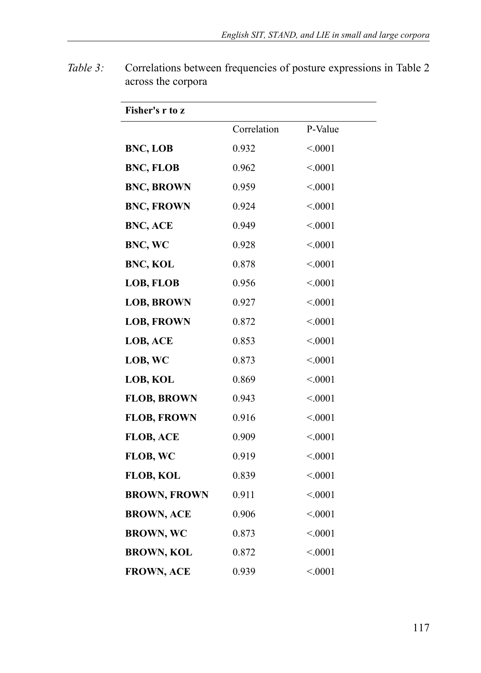| Fisher's r to z     |             |         |
|---------------------|-------------|---------|
|                     | Correlation | P-Value |
| BNC, LOB            | 0.932       | < 0001  |
| <b>BNC, FLOB</b>    | 0.962       | < 0.001 |
| <b>BNC, BROWN</b>   | 0.959       | < 0001  |
| <b>BNC, FROWN</b>   | 0.924       | < 0001  |
| BNC, ACE            | 0.949       | < 0001  |
| BNC, WC             | 0.928       | < 0.001 |
| <b>BNC, KOL</b>     | 0.878       | < 0.001 |
| LOB, FLOB           | 0.956       | < 0001  |
| <b>LOB, BROWN</b>   | 0.927       | < 0001  |
| <b>LOB, FROWN</b>   | 0.872       | < 0.001 |
| LOB, ACE            | 0.853       | < 0001  |
| LOB, WC             | 0.873       | < 0001  |
| LOB, KOL            | 0.869       | < 0001  |
| <b>FLOB, BROWN</b>  | 0.943       | < 0.001 |
| <b>FLOB, FROWN</b>  | 0.916       | < 0.001 |
| <b>FLOB, ACE</b>    | 0.909       | < 0001  |
| FLOB, WC            | 0.919       | < 0001  |
| <b>FLOB, KOL</b>    | 0.839       | < 0001  |
| <b>BROWN, FROWN</b> | 0.911       | < 0.001 |
| <b>BROWN, ACE</b>   | 0.906       | < 0001  |
| <b>BROWN, WC</b>    | 0.873       | < 0001  |
| <b>BROWN, KOL</b>   | 0.872       | < 0001  |
| <b>FROWN, ACE</b>   | 0.939       | < 0.001 |

*Table 3:* Correlations between frequencies of posture expressions in Table 2 across the corpora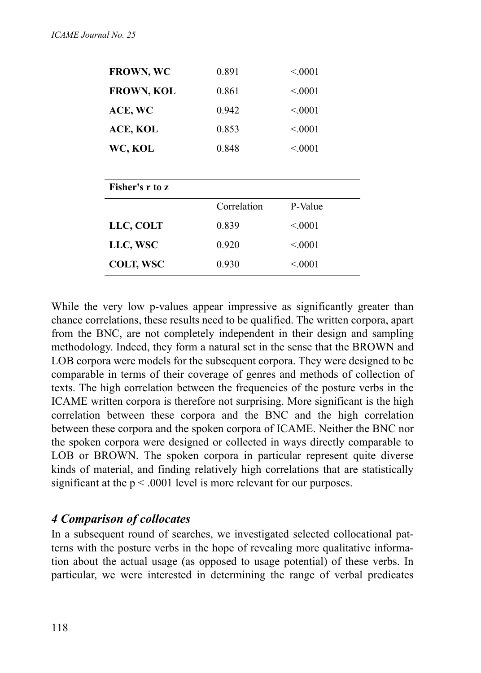| <b>FROWN, WC</b>  | 0.891       | < 0.001  |
|-------------------|-------------|----------|
| <b>FROWN, KOL</b> | 0.861       | < 0.001  |
| ACE, WC           | 0.942       | < 0.001  |
| ACE, KOL          | 0.853       | < 0.001  |
| WC, KOL           | 0.848       | < 0.0001 |
|                   |             |          |
| Fisher's r to z   |             |          |
|                   | Correlation | P-Value  |
| LLC, COLT         | 0.839       | < 0.001  |
| LLC, WSC          | 0.920       | < 0001   |
| <b>COLT, WSC</b>  | 0.930       | < 0.001  |

While the very low p-values appear impressive as significantly greater than chance correlations, these results need to be qualified. The written corpora, apart from the BNC, are not completely independent in their design and sampling methodology. Indeed, they form a natural set in the sense that the BROWN and LOB corpora were models for the subsequent corpora. They were designed to be comparable in terms of their coverage of genres and methods of collection of texts. The high correlation between the frequencies of the posture verbs in the ICAME written corpora is therefore not surprising. More significant is the high correlation between these corpora and the BNC and the high correlation between these corpora and the spoken corpora of ICAME. Neither the BNC nor the spoken corpora were designed or collected in ways directly comparable to LOB or BROWN. The spoken corpora in particular represent quite diverse kinds of material, and finding relatively high correlations that are statistically significant at the  $p < .0001$  level is more relevant for our purposes.

### *4 Comparison of collocates*

In a subsequent round of searches, we investigated selected collocational patterns with the posture verbs in the hope of revealing more qualitative information about the actual usage (as opposed to usage potential) of these verbs. In particular, we were interested in determining the range of verbal predicates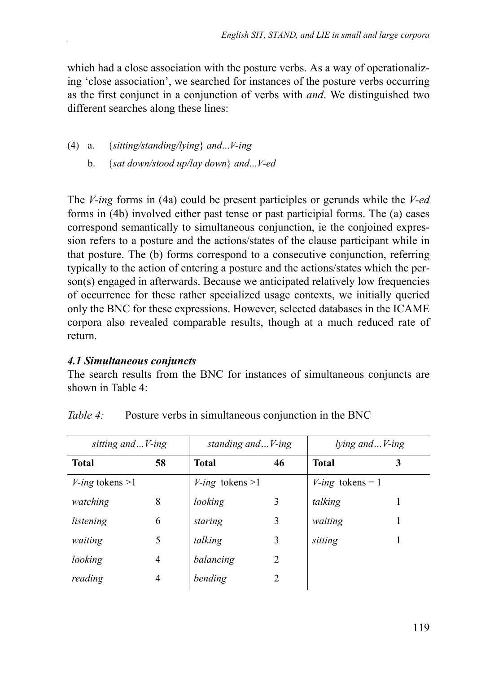which had a close association with the posture verbs. As a way of operationalizing 'close association', we searched for instances of the posture verbs occurring as the first conjunct in a conjunction of verbs with *and*. We distinguished two different searches along these lines:

- (4) a. {*sitting/standing/lying*} *and*...*V-ing*
	- b. {*sat down/stood up/lay down*} *and*...*V-ed*

The *V-ing* forms in (4a) could be present participles or gerunds while the *V-ed* forms in (4b) involved either past tense or past participial forms. The (a) cases correspond semantically to simultaneous conjunction, ie the conjoined expression refers to a posture and the actions/states of the clause participant while in that posture. The (b) forms correspond to a consecutive conjunction, referring typically to the action of entering a posture and the actions/states which the person(s) engaged in afterwards. Because we anticipated relatively low frequencies of occurrence for these rather specialized usage contexts, we initially queried only the BNC for these expressions. However, selected databases in the ICAME corpora also revealed comparable results, though at a much reduced rate of return.

#### *4.1 Simultaneous conjuncts*

The search results from the BNC for instances of simultaneous conjuncts are shown in Table 4:

| sitting and V-ing        |    | standing and V-ing       |    | lying andV-ing      |   |
|--------------------------|----|--------------------------|----|---------------------|---|
| Total                    | 58 | <b>Total</b>             | 46 | <b>Total</b>        | 3 |
| <i>V-ing</i> tokens $>1$ |    | <i>V-ing</i> tokens $>1$ |    | $V$ -ing tokens = 1 |   |
| watching                 | 8  | looking                  | 3  | talking             |   |
| listening                | 6  | staring                  | 3  | waiting             |   |
| waiting                  | 5  | talking                  | 3  | sitting             |   |
| looking                  | 4  | balancing                | 2  |                     |   |
| reading                  | 4  | bending                  |    |                     |   |

*Table 4:* Posture verbs in simultaneous conjunction in the BNC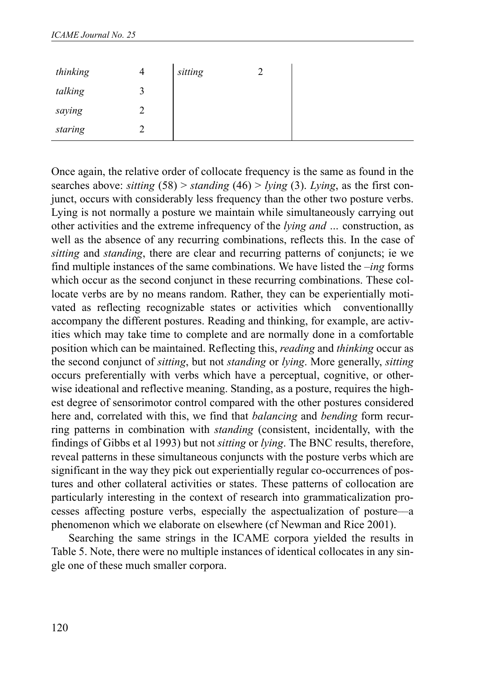| thinking | $\overline{4}$ | sitting |  |
|----------|----------------|---------|--|
| talking  |                |         |  |
| saying   | ↩              |         |  |
| staring  |                |         |  |

Once again, the relative order of collocate frequency is the same as found in the searches above: *sitting* (58) > *standing* (46) > *lying* (3). *Lying*, as the first conjunct, occurs with considerably less frequency than the other two posture verbs. Lying is not normally a posture we maintain while simultaneously carrying out other activities and the extreme infrequency of the *lying and …* construction, as well as the absence of any recurring combinations, reflects this. In the case of *sitting* and *standing*, there are clear and recurring patterns of conjuncts; ie we find multiple instances of the same combinations. We have listed the –*ing* forms which occur as the second conjunct in these recurring combinations. These collocate verbs are by no means random. Rather, they can be experientially motivated as reflecting recognizable states or activities which conventionallly accompany the different postures. Reading and thinking, for example, are activities which may take time to complete and are normally done in a comfortable position which can be maintained. Reflecting this, *reading* and *thinking* occur as the second conjunct of *sitting*, but not *standing* or *lying*. More generally, *sitting* occurs preferentially with verbs which have a perceptual, cognitive, or otherwise ideational and reflective meaning. Standing, as a posture, requires the highest degree of sensorimotor control compared with the other postures considered here and, correlated with this, we find that *balancing* and *bending* form recurring patterns in combination with *standing* (consistent, incidentally, with the findings of Gibbs et al 1993) but not *sitting* or *lying*. The BNC results, therefore, reveal patterns in these simultaneous conjuncts with the posture verbs which are significant in the way they pick out experientially regular co-occurrences of postures and other collateral activities or states. These patterns of collocation are particularly interesting in the context of research into grammaticalization processes affecting posture verbs, especially the aspectualization of posture––a phenomenon which we elaborate on elsewhere (cf Newman and Rice 2001).

Searching the same strings in the ICAME corpora yielded the results in Table 5. Note, there were no multiple instances of identical collocates in any single one of these much smaller corpora.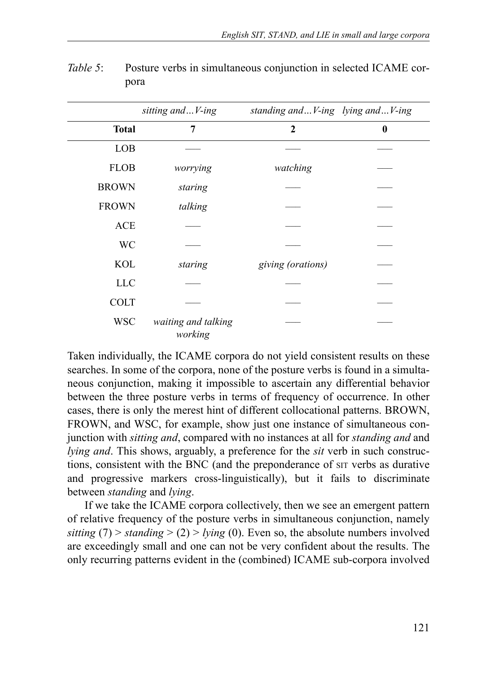|              | sitting andV-ing               | standing andV-ing lying andV-ing |          |
|--------------|--------------------------------|----------------------------------|----------|
| <b>Total</b> | 7                              | $\mathbf{2}$                     | $\bf{0}$ |
| LOB          |                                |                                  |          |
| <b>FLOB</b>  | worrying                       | watching                         |          |
| <b>BROWN</b> | staring                        |                                  |          |
| <b>FROWN</b> | talking                        |                                  |          |
| <b>ACE</b>   |                                |                                  |          |
| <b>WC</b>    |                                |                                  |          |
| <b>KOL</b>   | staring                        | giving (orations)                |          |
| <b>LLC</b>   |                                |                                  |          |
| <b>COLT</b>  |                                |                                  |          |
| <b>WSC</b>   | waiting and talking<br>working |                                  |          |

*Table 5*: Posture verbs in simultaneous conjunction in selected ICAME corpora

Taken individually, the ICAME corpora do not yield consistent results on these searches. In some of the corpora, none of the posture verbs is found in a simultaneous conjunction, making it impossible to ascertain any differential behavior between the three posture verbs in terms of frequency of occurrence. In other cases, there is only the merest hint of different collocational patterns. BROWN, FROWN, and WSC, for example, show just one instance of simultaneous conjunction with *sitting and*, compared with no instances at all for *standing and* and *lying and*. This shows, arguably, a preference for the *sit* verb in such constructions, consistent with the BNC (and the preponderance of SIT verbs as durative and progressive markers cross-linguistically), but it fails to discriminate between *standing* and *lying*.

If we take the ICAME corpora collectively, then we see an emergent pattern of relative frequency of the posture verbs in simultaneous conjunction, namely *sitting* (7) > *standing* > (2) > *lying* (0). Even so, the absolute numbers involved are exceedingly small and one can not be very confident about the results. The only recurring patterns evident in the (combined) ICAME sub-corpora involved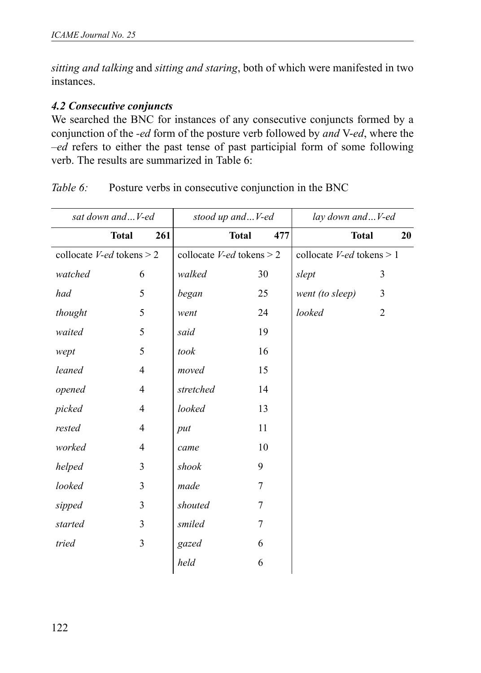*sitting and talking* and *sitting and staring*, both of which were manifested in two instances.

### *4.2 Consecutive conjuncts*

We searched the BNC for instances of any consecutive conjuncts formed by a conjunction of the *-ed* form of the posture verb followed by *and* V-*ed*, where the –*ed* refers to either the past tense of past participial form of some following verb. The results are summarized in Table 6:

| sat down and V-ed                  |                | stood up andV-ed |                                    | lay down andV-ed |                              |                |    |
|------------------------------------|----------------|------------------|------------------------------------|------------------|------------------------------|----------------|----|
| <b>Total</b>                       | 261            |                  | <b>Total</b>                       | 477              | <b>Total</b>                 |                | 20 |
| collocate <i>V-ed</i> tokens $> 2$ |                |                  | collocate <i>V-ed</i> tokens $> 2$ |                  | collocate $V$ -ed tokens > 1 |                |    |
| watched                            | 6              | walked           | 30                                 |                  | slept                        | 3              |    |
| had                                | 5              | began            | 25                                 |                  | went (to sleep)              | 3              |    |
| thought                            | 5              | went             | 24                                 |                  | looked                       | $\overline{2}$ |    |
| waited                             | 5              | said             | 19                                 |                  |                              |                |    |
| wept                               | 5              | took             | 16                                 |                  |                              |                |    |
| leaned                             | $\overline{4}$ | moved            | 15                                 |                  |                              |                |    |
| opened                             | $\overline{4}$ | stretched        | 14                                 |                  |                              |                |    |
| picked                             | $\overline{4}$ | looked           | 13                                 |                  |                              |                |    |
| rested                             | $\overline{4}$ | put              | 11                                 |                  |                              |                |    |
| worked                             | $\overline{4}$ | came             | 10                                 |                  |                              |                |    |
| helped                             | 3              | shook            | 9                                  |                  |                              |                |    |
| looked                             | 3              | made             | 7                                  |                  |                              |                |    |
| sipped                             | 3              | shouted          | 7                                  |                  |                              |                |    |
| started                            | 3              | smiled           | 7                                  |                  |                              |                |    |
| tried                              | 3              | gazed            | 6                                  |                  |                              |                |    |
|                                    |                | held             | 6                                  |                  |                              |                |    |

*Table 6:* Posture verbs in consecutive conjunction in the BNC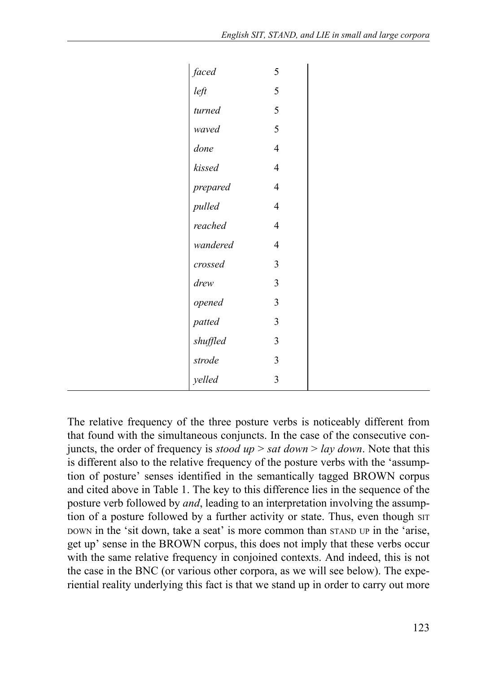| faced    | 5              |
|----------|----------------|
| left     | 5              |
| turned   | 5              |
| waved    | 5              |
| done     | $\overline{4}$ |
| kissed   | $\overline{4}$ |
| prepared | $\overline{4}$ |
| pulled   | $\overline{4}$ |
| reached  | $\overline{4}$ |
| wandered | $\overline{4}$ |
| crossed  | 3              |
| drew     | 3              |
| opened   | 3              |
| patted   | 3              |
| shuffled | 3              |
| strode   | 3              |
| velled   | 3              |

The relative frequency of the three posture verbs is noticeably different from that found with the simultaneous conjuncts. In the case of the consecutive conjuncts, the order of frequency is *stood up* > *sat down* > *lay down*. Note that this is different also to the relative frequency of the posture verbs with the 'assumption of posture' senses identified in the semantically tagged BROWN corpus and cited above in Table 1. The key to this difference lies in the sequence of the posture verb followed by *and*, leading to an interpretation involving the assumption of a posture followed by a further activity or state. Thus, even though  $\text{SIT}$ DOWN in the 'sit down, take a seat' is more common than STAND UP in the 'arise, get up' sense in the BROWN corpus, this does not imply that these verbs occur with the same relative frequency in conjoined contexts. And indeed, this is not the case in the BNC (or various other corpora, as we will see below). The experiential reality underlying this fact is that we stand up in order to carry out more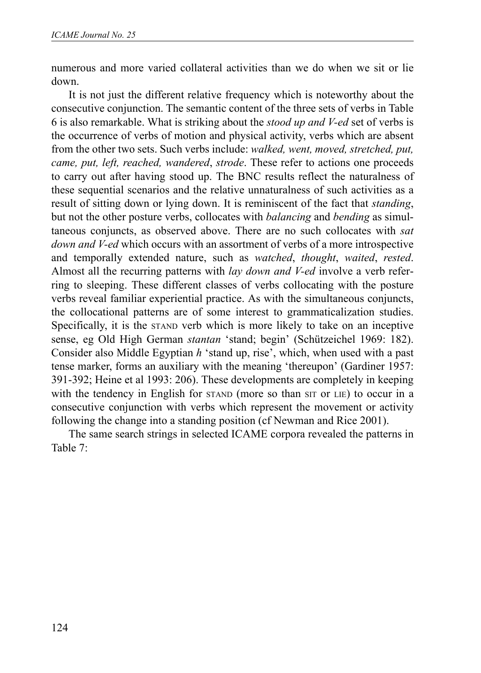numerous and more varied collateral activities than we do when we sit or lie down.

It is not just the different relative frequency which is noteworthy about the consecutive conjunction. The semantic content of the three sets of verbs in Table 6 is also remarkable. What is striking about the *stood up and V-ed* set of verbs is the occurrence of verbs of motion and physical activity, verbs which are absent from the other two sets. Such verbs include: *walked, went, moved, stretched, put, came, put, left, reached, wandered*, *strode*. These refer to actions one proceeds to carry out after having stood up. The BNC results reflect the naturalness of these sequential scenarios and the relative unnaturalness of such activities as a result of sitting down or lying down. It is reminiscent of the fact that *standing*, but not the other posture verbs, collocates with *balancing* and *bending* as simultaneous conjuncts, as observed above. There are no such collocates with *sat down and V-ed* which occurs with an assortment of verbs of a more introspective and temporally extended nature, such as *watched*, *thought*, *waited*, *rested*. Almost all the recurring patterns with *lay down and V-ed* involve a verb referring to sleeping. These different classes of verbs collocating with the posture verbs reveal familiar experiential practice. As with the simultaneous conjuncts, the collocational patterns are of some interest to grammaticalization studies. Specifically, it is the STAND verb which is more likely to take on an inceptive sense, eg Old High German *stantan* 'stand; begin' (Schützeichel 1969: 182). Consider also Middle Egyptian *h* 'stand up, rise', which, when used with a past tense marker, forms an auxiliary with the meaning 'thereupon' (Gardiner 1957: 391-392; Heine et al 1993: 206). These developments are completely in keeping with the tendency in English for STAND (more so than SIT or LIE) to occur in a consecutive conjunction with verbs which represent the movement or activity following the change into a standing position (cf Newman and Rice 2001).

The same search strings in selected ICAME corpora revealed the patterns in Table 7: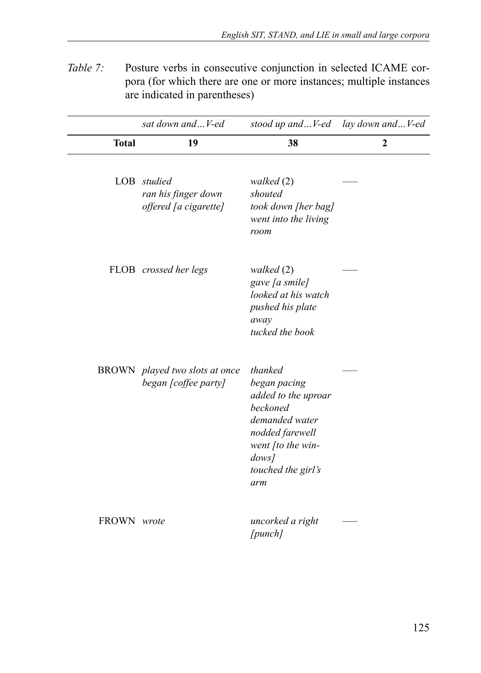*Table 7:* Posture verbs in consecutive conjunction in selected ICAME corpora (for which there are one or more instances; multiple instances are indicated in parentheses)

|              | sat down and  V-ed                                          | stood up andV-ed                                                                                                                                                 | lay down andV-ed |
|--------------|-------------------------------------------------------------|------------------------------------------------------------------------------------------------------------------------------------------------------------------|------------------|
| <b>Total</b> | 19                                                          | 38                                                                                                                                                               | $\mathbf{2}$     |
|              | LOB studied<br>ran his finger down<br>offered [a cigarette] | walked (2)<br>shouted<br>took down [her bag]<br>went into the living<br>room                                                                                     |                  |
|              | FLOB crossed her legs                                       | walked (2)<br>gave [a smile]<br>looked at his watch<br>pushed his plate<br>away<br>tucked the book                                                               |                  |
|              | BROWN played two slots at once<br>began [coffee party]      | thanked<br>began pacing<br>added to the uproar<br><b>beckoned</b><br>demanded water<br>nodded farewell<br>went [to the win-<br>dows<br>touched the girl's<br>arm |                  |
| FROWN wrote  |                                                             | uncorked a right<br>[punch]                                                                                                                                      |                  |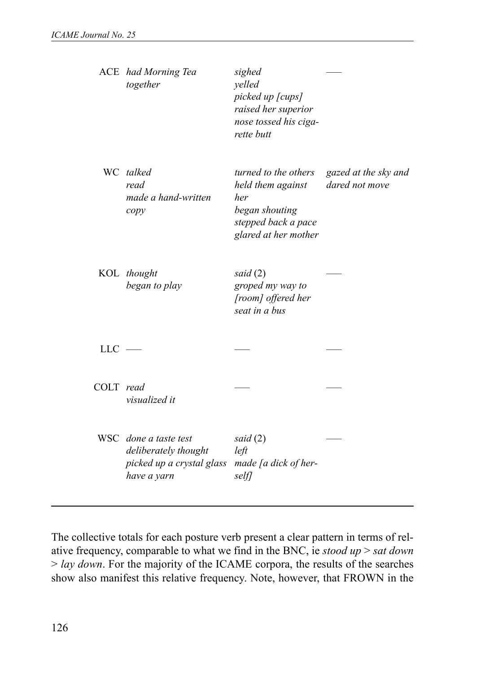|           | ACE had Morning Tea<br>together                                                                                | sighed<br>yelled<br>picked up [cups]<br>raised her superior<br>nose tossed his ciga-<br>rette butt                |                                        |
|-----------|----------------------------------------------------------------------------------------------------------------|-------------------------------------------------------------------------------------------------------------------|----------------------------------------|
|           | WC talked<br>read<br>made a hand-written<br>copy                                                               | turned to the others<br>held them against<br>her<br>began shouting<br>stepped back a pace<br>glared at her mother | gazed at the sky and<br>dared not move |
|           | KOL thought<br>began to play                                                                                   | said $(2)$<br>groped my way to<br>[room] offered her<br>seat in a bus                                             |                                        |
| $LLC =$   |                                                                                                                |                                                                                                                   |                                        |
| COLT read | visualized it                                                                                                  |                                                                                                                   |                                        |
|           | WSC done a taste test<br>deliberately thought<br>picked up a crystal glass made [a dick of her-<br>have a yarn | said (2)<br>left<br>selfl                                                                                         |                                        |

The collective totals for each posture verb present a clear pattern in terms of relative frequency, comparable to what we find in the BNC, ie *stood up* > *sat down* > *lay down*. For the majority of the ICAME corpora, the results of the searches show also manifest this relative frequency. Note, however, that FROWN in the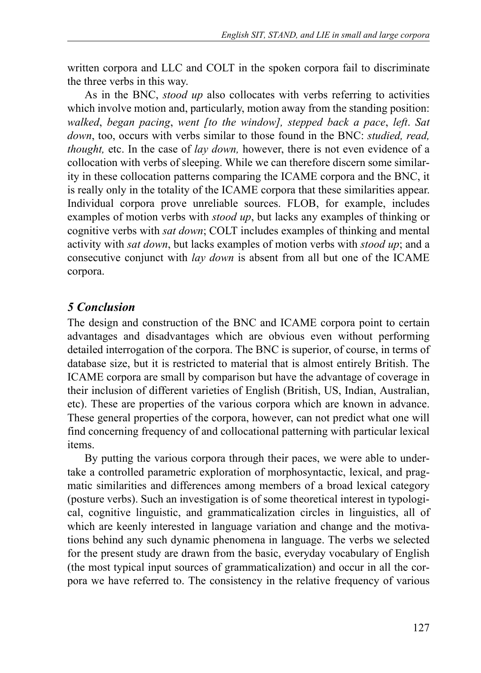written corpora and LLC and COLT in the spoken corpora fail to discriminate the three verbs in this way.

As in the BNC, *stood up* also collocates with verbs referring to activities which involve motion and, particularly, motion away from the standing position: *walked*, *began pacing*, *went [to the window], stepped back a pace*, *left*. *Sat down*, too, occurs with verbs similar to those found in the BNC: *studied, read, thought,* etc. In the case of *lay down,* however, there is not even evidence of a collocation with verbs of sleeping. While we can therefore discern some similarity in these collocation patterns comparing the ICAME corpora and the BNC, it is really only in the totality of the ICAME corpora that these similarities appear. Individual corpora prove unreliable sources. FLOB, for example, includes examples of motion verbs with *stood up*, but lacks any examples of thinking or cognitive verbs with *sat down*; COLT includes examples of thinking and mental activity with *sat down*, but lacks examples of motion verbs with *stood up*; and a consecutive conjunct with *lay down* is absent from all but one of the ICAME corpora.

## *5 Conclusion*

The design and construction of the BNC and ICAME corpora point to certain advantages and disadvantages which are obvious even without performing detailed interrogation of the corpora. The BNC is superior, of course, in terms of database size, but it is restricted to material that is almost entirely British. The ICAME corpora are small by comparison but have the advantage of coverage in their inclusion of different varieties of English (British, US, Indian, Australian, etc). These are properties of the various corpora which are known in advance. These general properties of the corpora, however, can not predict what one will find concerning frequency of and collocational patterning with particular lexical items.

By putting the various corpora through their paces, we were able to undertake a controlled parametric exploration of morphosyntactic, lexical, and pragmatic similarities and differences among members of a broad lexical category (posture verbs). Such an investigation is of some theoretical interest in typological, cognitive linguistic, and grammaticalization circles in linguistics, all of which are keenly interested in language variation and change and the motivations behind any such dynamic phenomena in language. The verbs we selected for the present study are drawn from the basic, everyday vocabulary of English (the most typical input sources of grammaticalization) and occur in all the corpora we have referred to. The consistency in the relative frequency of various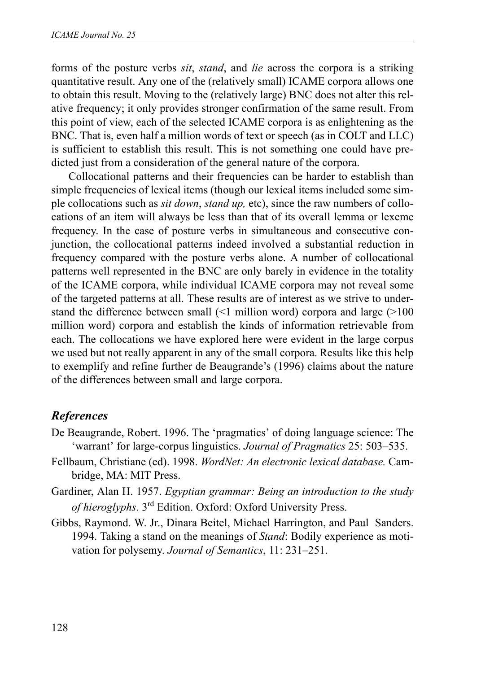forms of the posture verbs *sit*, *stand*, and *lie* across the corpora is a striking quantitative result. Any one of the (relatively small) ICAME corpora allows one to obtain this result. Moving to the (relatively large) BNC does not alter this relative frequency; it only provides stronger confirmation of the same result. From this point of view, each of the selected ICAME corpora is as enlightening as the BNC. That is, even half a million words of text or speech (as in COLT and LLC) is sufficient to establish this result. This is not something one could have predicted just from a consideration of the general nature of the corpora.

Collocational patterns and their frequencies can be harder to establish than simple frequencies of lexical items (though our lexical items included some simple collocations such as *sit down*, *stand up,* etc), since the raw numbers of collocations of an item will always be less than that of its overall lemma or lexeme frequency. In the case of posture verbs in simultaneous and consecutive conjunction, the collocational patterns indeed involved a substantial reduction in frequency compared with the posture verbs alone. A number of collocational patterns well represented in the BNC are only barely in evidence in the totality of the ICAME corpora, while individual ICAME corpora may not reveal some of the targeted patterns at all. These results are of interest as we strive to understand the difference between small (<1 million word) corpora and large (>100 million word) corpora and establish the kinds of information retrievable from each. The collocations we have explored here were evident in the large corpus we used but not really apparent in any of the small corpora. Results like this help to exemplify and refine further de Beaugrande's (1996) claims about the nature of the differences between small and large corpora.

# *References*

- De Beaugrande, Robert. 1996. The 'pragmatics' of doing language science: The 'warrant' for large-corpus linguistics. *Journal of Pragmatics* 25: 503–535.
- Fellbaum, Christiane (ed). 1998. *WordNet: An electronic lexical database.* Cambridge, MA: MIT Press.
- Gardiner, Alan H. 1957. *Egyptian grammar: Being an introduction to the study of hieroglyphs*. 3rd Edition. Oxford: Oxford University Press.
- Gibbs, Raymond. W. Jr., Dinara Beitel, Michael Harrington, and Paul Sanders. 1994. Taking a stand on the meanings of *Stand*: Bodily experience as motivation for polysemy. *Journal of Semantics*, 11: 231–251.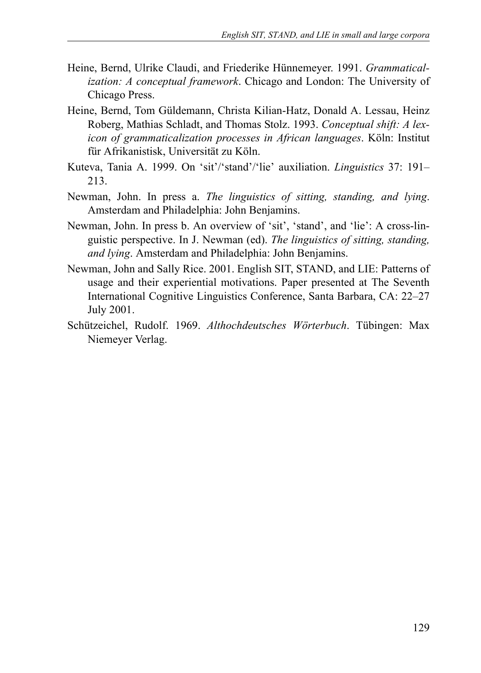- Heine, Bernd, Ulrike Claudi, and Friederike Hünnemeyer. 1991. *Grammaticalization: A conceptual framework*. Chicago and London: The University of Chicago Press.
- Heine, Bernd, Tom Güldemann, Christa Kilian-Hatz, Donald A. Lessau, Heinz Roberg, Mathias Schladt, and Thomas Stolz. 1993. *Conceptual shift: A lexicon of grammaticalization processes in African languages*. Köln: Institut für Afrikanistisk, Universität zu Köln.
- Kuteva, Tania A. 1999. On 'sit'/'stand'/'lie' auxiliation. *Linguistics* 37: 191– 213.
- Newman, John. In press a. *The linguistics of sitting, standing, and lying*. Amsterdam and Philadelphia: John Benjamins.
- Newman, John. In press b. An overview of 'sit', 'stand', and 'lie': A cross-linguistic perspective. In J. Newman (ed). *The linguistics of sitting, standing, and lying*. Amsterdam and Philadelphia: John Benjamins.
- Newman, John and Sally Rice. 2001. English SIT, STAND, and LIE: Patterns of usage and their experiential motivations. Paper presented at The Seventh International Cognitive Linguistics Conference, Santa Barbara, CA: 22–27 July 2001.
- Schützeichel, Rudolf. 1969. *Althochdeutsches Wörterbuch*. Tübingen: Max Niemeyer Verlag.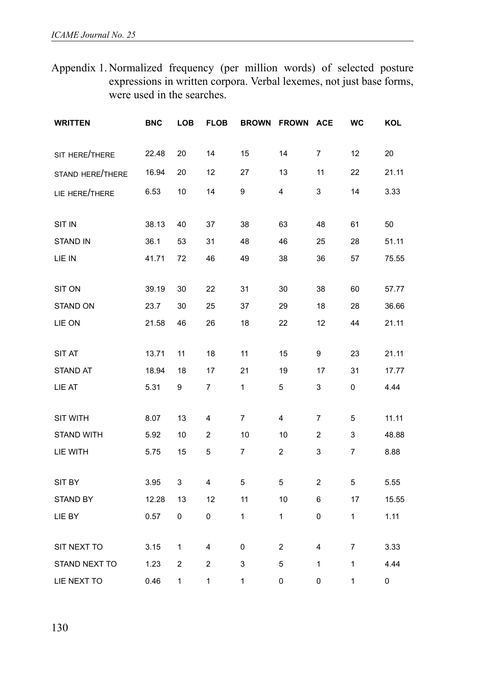Appendix 1. Normalized frequency (per million words) of selected posture expressions in written corpora. Verbal lexemes, not just base forms, were used in the searches.

| <b>WRITTEN</b>          | <b>BNC</b> | LOB | <b>FLOB</b> | <b>BROWN</b> | <b>FROWN</b>            | <b>ACE</b>     | WC | KOL   |
|-------------------------|------------|-----|-------------|--------------|-------------------------|----------------|----|-------|
| SIT HERE/THERE          | 22.48      | 20  | 14          | 15           | 14                      | $\overline{7}$ | 12 | 20    |
| <b>STAND HERE/THERE</b> | 16.94      | 20  | 12          | 27           | 13                      | 11             | 22 | 21.11 |
| LIE HERE/THERE          | 6.53       | 10  | 14          | 9            | 4                       | 3              | 14 | 3.33  |
| SIT IN                  | 38.13      | 40  | 37          | 38           | 63                      | 48             | 61 | 50    |
| <b>STAND IN</b>         | 36.1       | 53  | 31          | 48           | 46                      | 25             | 28 | 51.11 |
| LIE IN                  | 41.71      | 72  | 46          | 49           | 38                      | 36             | 57 | 75.55 |
| <b>SIT ON</b>           | 39.19      | 30  | 22          | 31           | 30                      | 38             | 60 | 57.77 |
| <b>STAND ON</b>         | 23.7       | 30  | 25          | 37           | 29                      | 18             | 28 | 36.66 |
| LIE ON                  | 21.58      | 46  | 26          | 18           | 22                      | 12             | 44 | 21.11 |
| SIT AT                  | 13.71      | 11  | 18          | 11           | 15                      | 9              | 23 | 21.11 |
| <b>STAND AT</b>         | 18.94      | 18  | 17          | 21           | 19                      | 17             | 31 | 17.77 |
| LIE AT                  | 5.31       | 9   | 7           | 1            | 5                       | 3              | 0  | 4.44  |
| SIT WITH                | 8.07       | 13  | 4           | 7            | $\overline{4}$          | $\overline{7}$ | 5  | 11.11 |
| <b>STAND WITH</b>       | 5.92       | 10  | 2           | 10           | 10                      | 2              | 3  | 48.88 |
| LIE WITH                | 5.75       | 15  | 5           | 7            | $\overline{\mathbf{c}}$ | 3              | 7  | 8.88  |
| SIT BY                  | 3.95       | 3   | 4           | 5            | 5                       | 2              | 5  | 5.55  |
| <b>STAND BY</b>         | 12.28      | 13  | 12          | 11           | 10                      | 6              | 17 | 15.55 |
| LIE BY                  | 0.57       | 0   | 0           | 1            | 1                       | 0              | 1  | 1.11  |
| SIT NEXT TO             | 3.15       | 1   | 4           | 0            | 2                       | 4              | 7  | 3.33  |
| STAND NEXT TO           | 1.23       | 2   | 2           | 3            | 5                       | 1              | 1  | 4.44  |
| LIE NEXT TO             | 0.46       | 1   | 1           | 1            | 0                       | 0              | 1  | 0     |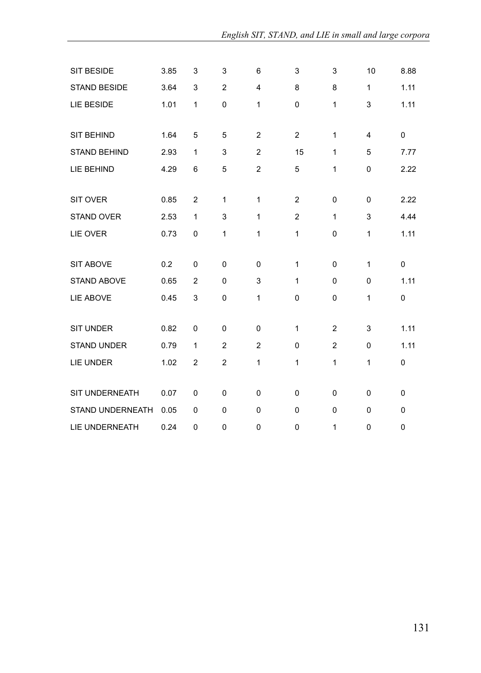| SIT BESIDE              | 3.85 | 3              | 3              | 6              | 3              | 3              | 10             | 8.88     |
|-------------------------|------|----------------|----------------|----------------|----------------|----------------|----------------|----------|
| <b>STAND BESIDE</b>     | 3.64 | 3              | $\overline{2}$ | 4              | 8              | 8              | 1              | 1.11     |
| LIE BESIDE              | 1.01 | 1              | $\mathbf 0$    | 1              | 0              | 1              | 3              | 1.11     |
|                         |      |                |                |                |                |                |                |          |
| <b>SIT BEHIND</b>       | 1.64 | 5              | 5              | $\overline{2}$ | $\overline{2}$ | 1              | $\overline{4}$ | 0        |
| <b>STAND BEHIND</b>     | 2.93 | 1              | 3              | $\overline{2}$ | 15             | 1              | 5              | 7.77     |
| LIE BEHIND              | 4.29 | 6              | 5              | $\overline{c}$ | 5              | 1              | $\pmb{0}$      | 2.22     |
|                         |      |                |                |                |                |                |                |          |
| <b>SIT OVER</b>         | 0.85 | $\overline{2}$ | 1              | $\mathbf{1}$   | $\overline{2}$ | $\mathbf 0$    | $\mathbf 0$    | 2.22     |
| <b>STAND OVER</b>       | 2.53 | 1              | 3              | $\mathbf{1}$   | $\overline{2}$ | 1              | 3              | 4.44     |
| LIE OVER                | 0.73 | 0              | 1              | 1              | 1              | $\mathbf 0$    | 1              | 1.11     |
|                         |      |                |                |                |                |                |                |          |
| <b>SIT ABOVE</b>        | 0.2  | 0              | $\mathbf 0$    | $\mathbf 0$    | $\mathbf{1}$   | $\mathbf 0$    | $\mathbf{1}$   | 0        |
| <b>STAND ABOVE</b>      | 0.65 | $\overline{2}$ | $\mathbf 0$    | 3              | $\mathbf{1}$   | $\mathbf 0$    | $\mathbf 0$    | 1.11     |
| LIE ABOVE               | 0.45 | 3              | 0              | 1              | 0              | $\mathbf 0$    | 1              | 0        |
|                         |      |                |                |                |                |                |                |          |
| <b>SIT UNDER</b>        | 0.82 | 0              | 0              | 0              | $\mathbf{1}$   | $\overline{2}$ | 3              | 1.11     |
| <b>STAND UNDER</b>      | 0.79 | 1              | $\overline{2}$ | $\overline{2}$ | $\mathbf 0$    | $\overline{2}$ | $\mathbf 0$    | 1.11     |
| <b>LIE UNDER</b>        | 1.02 | $\overline{2}$ | 2              | 1              | $\mathbf{1}$   | 1              | 1              | 0        |
|                         |      |                |                |                |                |                |                |          |
| <b>SIT UNDERNEATH</b>   | 0.07 | 0              | 0              | 0              | $\mathbf 0$    | $\mathbf 0$    | 0              | 0        |
| <b>STAND UNDERNEATH</b> | 0.05 | $\mathbf 0$    | $\mathbf 0$    | $\mathbf 0$    | $\mathbf 0$    | $\Omega$       | $\mathbf 0$    | $\Omega$ |
| <b>LIE UNDERNEATH</b>   | 0.24 | $\mathbf 0$    | 0              | 0              | 0              | 1              | $\mathbf 0$    | 0        |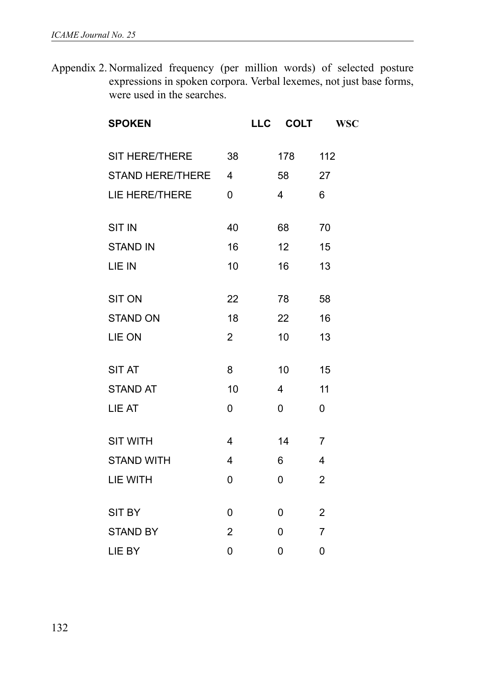Appendix 2. Normalized frequency (per million words) of selected posture expressions in spoken corpora. Verbal lexemes, not just base forms, were used in the searches.

| <b>SPOKEN</b>     |                | <b>LLC</b> | <b>COLT</b> | <b>WSC</b>     |
|-------------------|----------------|------------|-------------|----------------|
| SIT HERE/THERE    | 38             |            | 178         | 112            |
| STAND HERE/THERE  | 4              |            | 58          | 27             |
| LIE HERE/THERE    | 0              |            | 4           | 6              |
| <b>SIT IN</b>     | 40             |            | 68          | 70             |
| <b>STAND IN</b>   | 16             |            | 12          | 15             |
| LIE IN            | 10             |            | 16          | 13             |
| <b>SIT ON</b>     | 22             |            | 78          | 58             |
| <b>STAND ON</b>   | 18             |            | 22          | 16             |
| LIE ON            | $\overline{2}$ |            | 10          | 13             |
| <b>SIT AT</b>     | 8              |            | 10          | 15             |
| <b>STAND AT</b>   | 10             |            | 4           | 11             |
| LIE AT            | 0              |            | 0           | 0              |
| <b>SIT WITH</b>   | 4              |            | 14          | 7              |
| <b>STAND WITH</b> | 4              |            | 6           | 4              |
| LIE WITH          | 0              |            | 0           | $\overline{2}$ |
| SIT BY            | 0              |            | 0           | $\overline{2}$ |
| <b>STAND BY</b>   | 2              |            | 0           | 7              |
| LIE BY            | 0              |            | 0           | 0              |